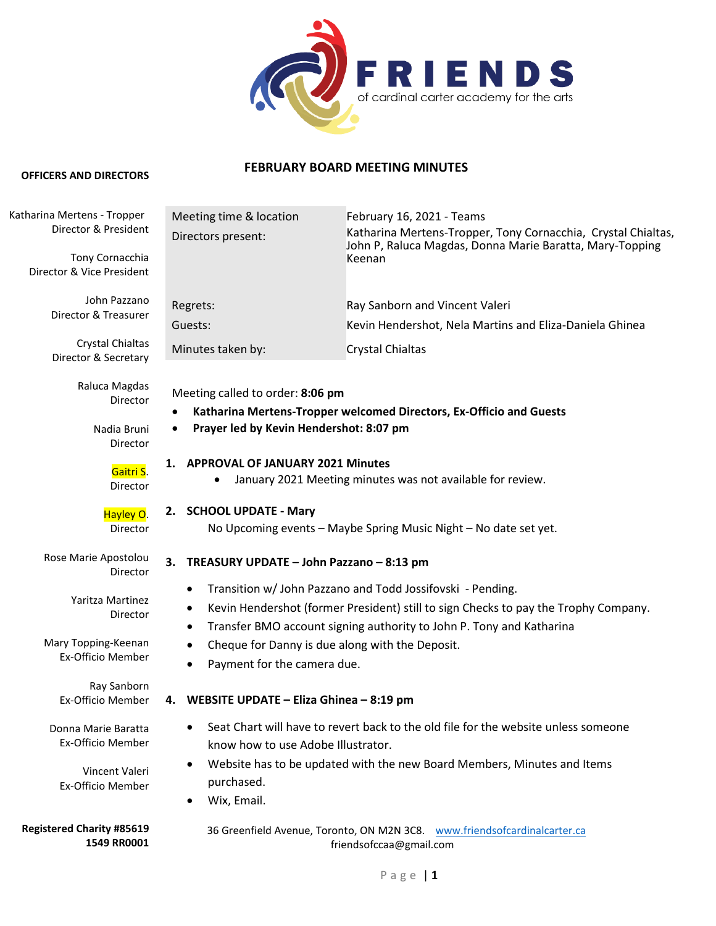

# **FEBRUARY BOARD MEETING MINUTES**

# **OFFICERS AND DIRECTORS**

#### 36 Greenfield Avenue, Toronto, ON M2N 3C8. www.friendsofcardinalcarter.ca friendsofccaa@gmail.com Meeting time & location February 16, 2021 - Teams Directors present: Katharina Mertens-Tropper, Tony Cornacchia, Crystal Chialtas, John P, Raluca Magdas, Donna Marie Baratta, Mary-Topping Keenan Regrets: Ray Sanborn and Vincent Valeri Guests: Kevin Hendershot, Nela Martins and Eliza-Daniela Ghinea Minutes taken by: Crystal Chialtas Meeting called to order: **8:06 pm** • **Katharina Mertens-Tropper welcomed Directors, Ex-Officio and Guests** • **Prayer led by Kevin Hendershot: 8:07 pm 1. APPROVAL OF JANUARY 2021 Minutes** • January 2021 Meeting minutes was not available for review. **2. SCHOOL UPDATE - Mary** No Upcoming events – Maybe Spring Music Night – No date set yet. **3. TREASURY UPDATE – John Pazzano – 8:13 pm** • Transition w/ John Pazzano and Todd Jossifovski - Pending. • Kevin Hendershot (former President) still to sign Checks to pay the Trophy Company. • Transfer BMO account signing authority to John P. Tony and Katharina • Cheque for Danny is due along with the Deposit. • Payment for the camera due. **4. WEBSITE UPDATE – Eliza Ghinea – 8:19 pm** • Seat Chart will have to revert back to the old file for the website unless someone know how to use Adobe Illustrator. • Website has to be updated with the new Board Members, Minutes and Items purchased. • Wix, Email. Katharina Mertens - Tropper Director & President Tony Cornacchia Director & Vice President John Pazzano Director & Treasurer Crystal Chialtas Director & Secretary Raluca Magdas Director Nadia Bruni Director Gaitri S. Director Hayley O. Director Rose Marie Apostolou Director Yaritza Martinez Director Mary Topping-Keenan Ex-Officio Member Ray Sanborn Ex-Officio Member Donna Marie Baratta Ex-Officio Member Vincent Valeri Ex-Officio Member **Registered Charity #85619 1549 RR0001**